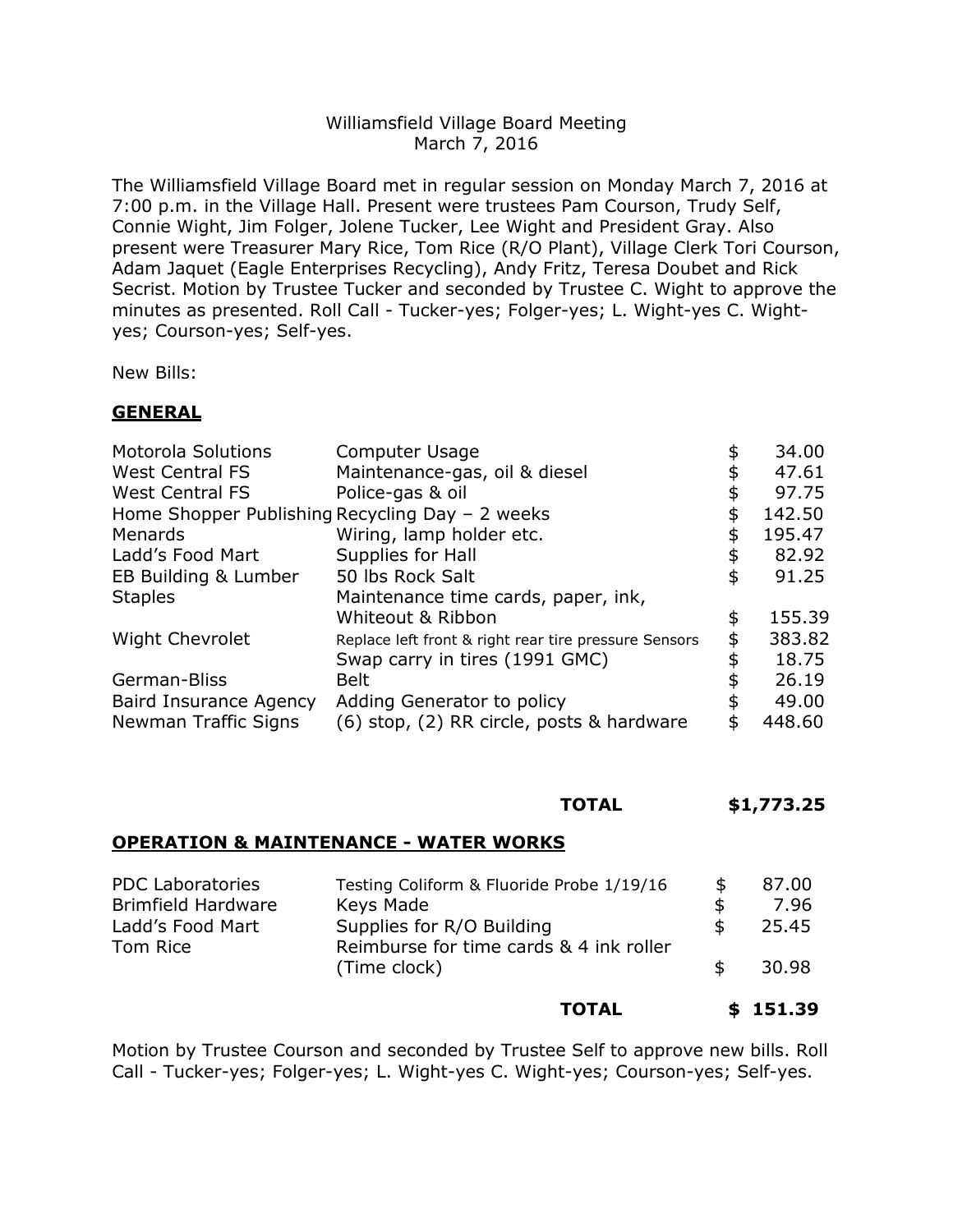## Williamsfield Village Board Meeting March 7, 2016

The Williamsfield Village Board met in regular session on Monday March 7, 2016 at 7:00 p.m. in the Village Hall. Present were trustees Pam Courson, Trudy Self, Connie Wight, Jim Folger, Jolene Tucker, Lee Wight and President Gray. Also present were Treasurer Mary Rice, Tom Rice (R/O Plant), Village Clerk Tori Courson, Adam Jaquet (Eagle Enterprises Recycling), Andy Fritz, Teresa Doubet and Rick Secrist. Motion by Trustee Tucker and seconded by Trustee C. Wight to approve the minutes as presented. Roll Call - Tucker-yes; Folger-yes; L. Wight-yes C. Wightyes; Courson-yes; Self-yes.

New Bills:

## **GENERAL**

| Computer Usage                                        | 34.00        |
|-------------------------------------------------------|--------------|
| Maintenance-gas, oil & diesel                         | \$<br>47.61  |
| Police-gas & oil                                      | \$<br>97.75  |
| Home Shopper Publishing Recycling Day - 2 weeks       | \$<br>142.50 |
| Wiring, lamp holder etc.                              | \$<br>195.47 |
| Supplies for Hall                                     | \$<br>82.92  |
| 50 lbs Rock Salt                                      | \$<br>91.25  |
| Maintenance time cards, paper, ink,                   |              |
| Whiteout & Ribbon                                     | \$<br>155.39 |
| Replace left front & right rear tire pressure Sensors | \$<br>383.82 |
| Swap carry in tires (1991 GMC)                        | \$<br>18.75  |
| <b>Belt</b>                                           | 26.19        |
| Adding Generator to policy                            | \$<br>49.00  |
| (6) stop, (2) RR circle, posts & hardware             | \$<br>448.60 |
|                                                       |              |

#### **TOTAL \$1,773.25**

#### **OPERATION & MAINTENANCE - WATER WORKS**

| <b>PDC Laboratories</b>   | Testing Coliform & Fluoride Probe 1/19/16               | £. | 87.00 |
|---------------------------|---------------------------------------------------------|----|-------|
| <b>Brimfield Hardware</b> | Keys Made                                               |    | 7.96  |
| Ladd's Food Mart          | Supplies for R/O Building                               |    | 25.45 |
| Tom Rice                  | Reimburse for time cards & 4 ink roller<br>(Time clock) |    | 30.98 |

#### **TOTAL \$ 151.39**

Motion by Trustee Courson and seconded by Trustee Self to approve new bills. Roll Call - Tucker-yes; Folger-yes; L. Wight-yes C. Wight-yes; Courson-yes; Self-yes.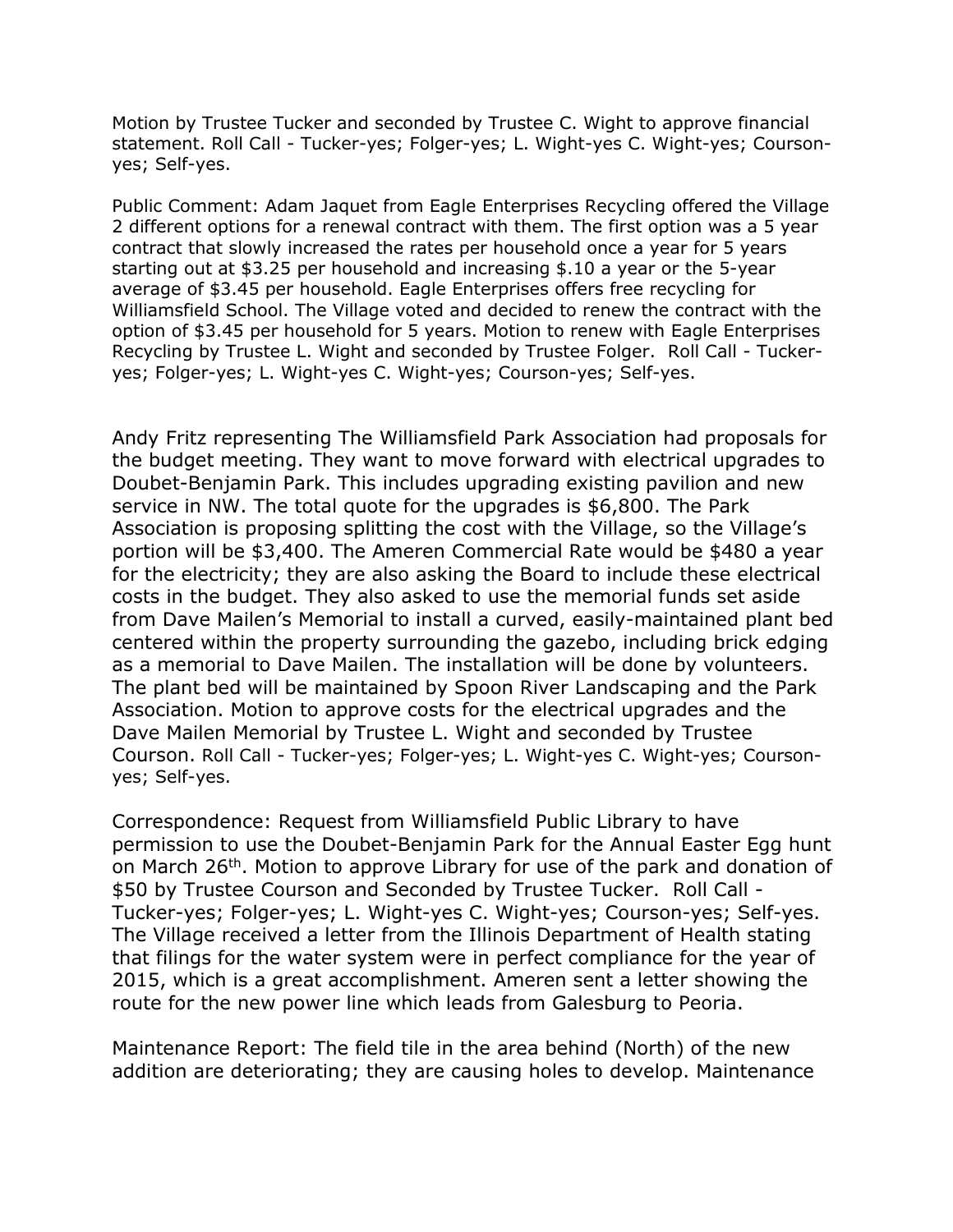Motion by Trustee Tucker and seconded by Trustee C. Wight to approve financial statement. Roll Call - Tucker-yes; Folger-yes; L. Wight-yes C. Wight-yes; Coursonyes; Self-yes.

Public Comment: Adam Jaquet from Eagle Enterprises Recycling offered the Village 2 different options for a renewal contract with them. The first option was a 5 year contract that slowly increased the rates per household once a year for 5 years starting out at \$3.25 per household and increasing \$.10 a year or the 5-year average of \$3.45 per household. Eagle Enterprises offers free recycling for Williamsfield School. The Village voted and decided to renew the contract with the option of \$3.45 per household for 5 years. Motion to renew with Eagle Enterprises Recycling by Trustee L. Wight and seconded by Trustee Folger. Roll Call - Tuckeryes; Folger-yes; L. Wight-yes C. Wight-yes; Courson-yes; Self-yes.

Andy Fritz representing The Williamsfield Park Association had proposals for the budget meeting. They want to move forward with electrical upgrades to Doubet-Benjamin Park. This includes upgrading existing pavilion and new service in NW. The total quote for the upgrades is \$6,800. The Park Association is proposing splitting the cost with the Village, so the Village's portion will be \$3,400. The Ameren Commercial Rate would be \$480 a year for the electricity; they are also asking the Board to include these electrical costs in the budget. They also asked to use the memorial funds set aside from Dave Mailen's Memorial to install a curved, easily-maintained plant bed centered within the property surrounding the gazebo, including brick edging as a memorial to Dave Mailen. The installation will be done by volunteers. The plant bed will be maintained by Spoon River Landscaping and the Park Association. Motion to approve costs for the electrical upgrades and the Dave Mailen Memorial by Trustee L. Wight and seconded by Trustee Courson. Roll Call - Tucker-yes; Folger-yes; L. Wight-yes C. Wight-yes; Coursonyes; Self-yes.

Correspondence: Request from Williamsfield Public Library to have permission to use the Doubet-Benjamin Park for the Annual Easter Egg hunt on March 26<sup>th</sup>. Motion to approve Library for use of the park and donation of \$50 by Trustee Courson and Seconded by Trustee Tucker. Roll Call - Tucker-yes; Folger-yes; L. Wight-yes C. Wight-yes; Courson-yes; Self-yes. The Village received a letter from the Illinois Department of Health stating that filings for the water system were in perfect compliance for the year of 2015, which is a great accomplishment. Ameren sent a letter showing the route for the new power line which leads from Galesburg to Peoria.

Maintenance Report: The field tile in the area behind (North) of the new addition are deteriorating; they are causing holes to develop. Maintenance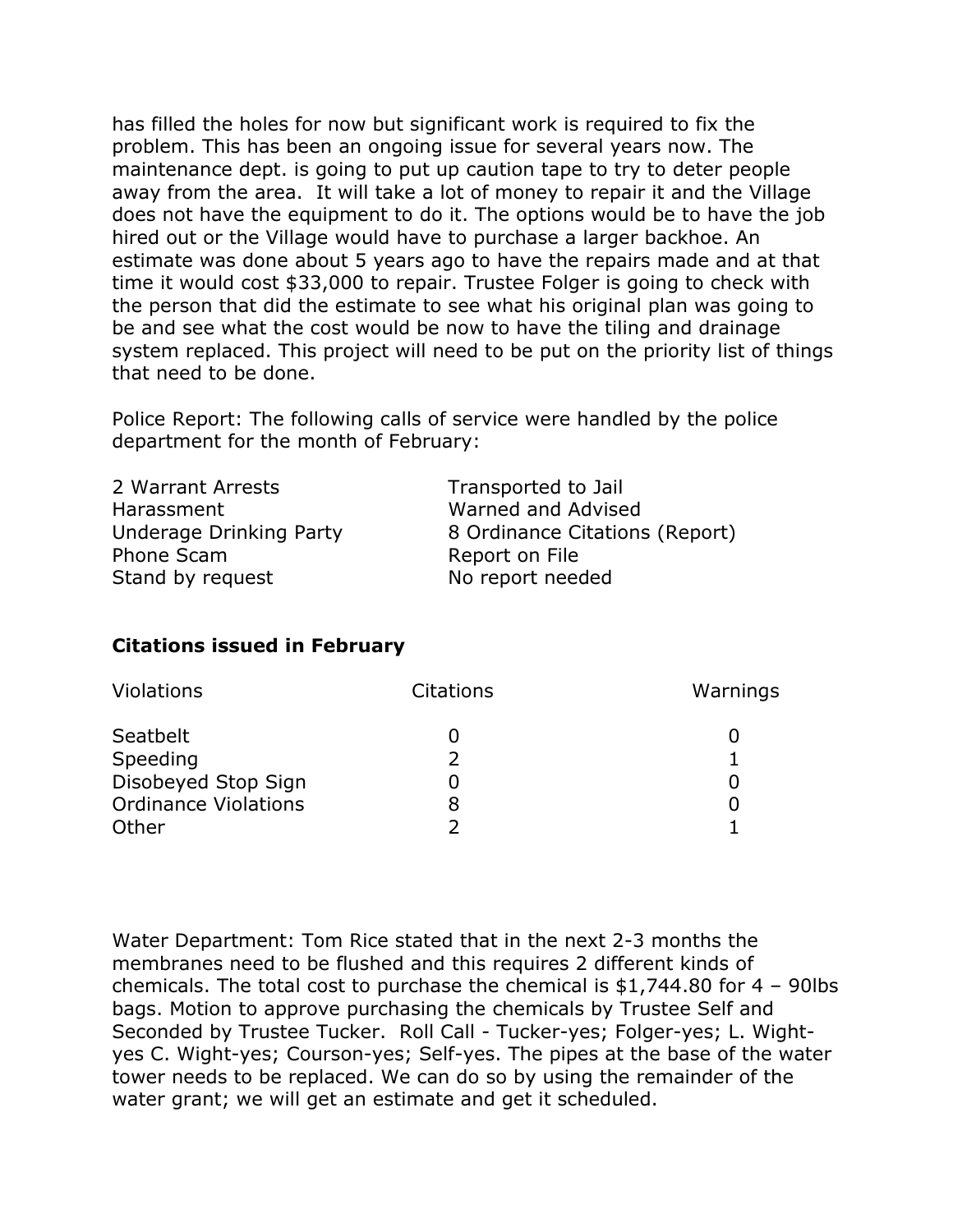has filled the holes for now but significant work is required to fix the problem. This has been an ongoing issue for several years now. The maintenance dept. is going to put up caution tape to try to deter people away from the area. It will take a lot of money to repair it and the Village does not have the equipment to do it. The options would be to have the job hired out or the Village would have to purchase a larger backhoe. An estimate was done about 5 years ago to have the repairs made and at that time it would cost \$33,000 to repair. Trustee Folger is going to check with the person that did the estimate to see what his original plan was going to be and see what the cost would be now to have the tiling and drainage system replaced. This project will need to be put on the priority list of things that need to be done.

Police Report: The following calls of service were handled by the police department for the month of February:

2 Warrant Arrests Transported to Jail Harassment Warned and Advised Phone Scam Report on File Stand by request No report needed

Underage Drinking Party 8 Ordinance Citations (Report)

# **Citations issued in February**

| Violations                  | <b>Citations</b> | Warnings |
|-----------------------------|------------------|----------|
| Seatbelt                    |                  |          |
| Speeding                    |                  |          |
| Disobeyed Stop Sign         |                  |          |
| <b>Ordinance Violations</b> | 8                |          |
| Other                       |                  |          |

Water Department: Tom Rice stated that in the next 2-3 months the membranes need to be flushed and this requires 2 different kinds of chemicals. The total cost to purchase the chemical is \$1,744.80 for 4 – 90lbs bags. Motion to approve purchasing the chemicals by Trustee Self and Seconded by Trustee Tucker. Roll Call - Tucker-yes; Folger-yes; L. Wightyes C. Wight-yes; Courson-yes; Self-yes. The pipes at the base of the water tower needs to be replaced. We can do so by using the remainder of the water grant; we will get an estimate and get it scheduled.